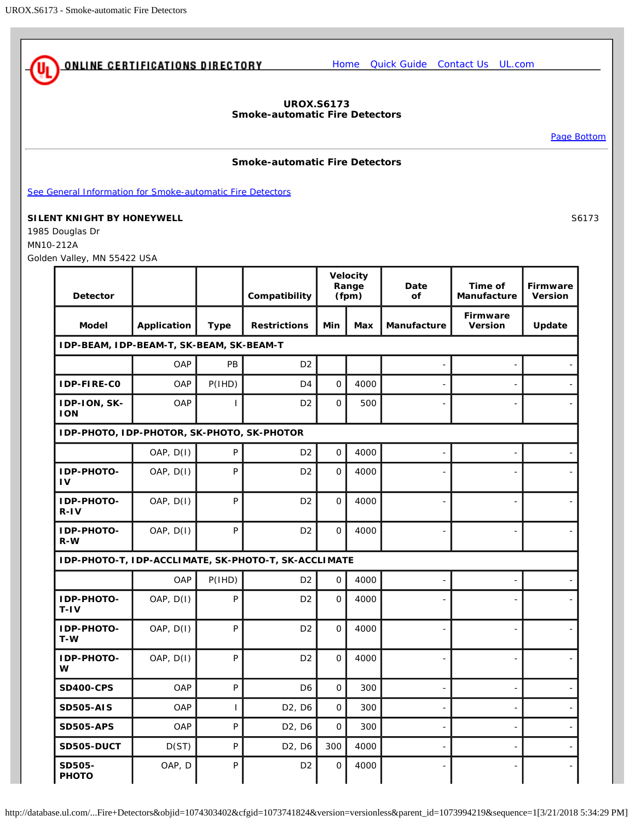<span id="page-0-0"></span>

## **UROX.S6173 Smoke-automatic Fire Detectors**

[Page Bottom](#page-2-0)

## **Smoke-automatic Fire Detectors**

[See General Information for Smoke-automatic Fire Detectors](http://database.ul.com/cgi-bin/XYV/template/LISEXT/1FRAME/showpage.html?&name=UROX.GuideInfo&ccnshorttitle=Smoke-automatic+Fire+Detectors&objid=1074303259&cfgid=1073741824&version=versionless&parent_id=1073994219&sequence=1)

## **SILENT KNIGHT BY HONEYWELL** S6173

1985 Douglas Dr MN10-212A Golden Valley, MN 55422 USA

| <i></i>                                    |                                                      |              |                                 |                            |            |             |                            |                                   |  |  |
|--------------------------------------------|------------------------------------------------------|--------------|---------------------------------|----------------------------|------------|-------------|----------------------------|-----------------------------------|--|--|
| <b>Detector</b>                            |                                                      |              | Compatibility                   | Velocity<br>Range<br>(fpm) |            | Date<br>of  | Time of<br>Manufacture     | <b>Firmware</b><br><b>Version</b> |  |  |
| <b>Model</b>                               | Application                                          | <b>Type</b>  | <b>Restrictions</b>             | Min                        | <b>Max</b> | Manufacture | <b>Firmware</b><br>Version | Update                            |  |  |
| IDP-BEAM, IDP-BEAM-T, SK-BEAM, SK-BEAM-T   |                                                      |              |                                 |                            |            |             |                            |                                   |  |  |
|                                            | OAP                                                  | PB           | D <sub>2</sub>                  |                            |            |             |                            |                                   |  |  |
| IDP-FIRE-CO                                | OAP                                                  | P(1HD)       | D <sub>4</sub>                  | $\Omega$<br>4000           |            |             |                            |                                   |  |  |
| IDP-ION, SK-<br><b>ION</b>                 | OAP                                                  |              | D <sub>2</sub>                  | $\mathbf 0$                | 500        |             |                            |                                   |  |  |
| IDP-PHOTO, IDP-PHOTOR, SK-PHOTO, SK-PHOTOR |                                                      |              |                                 |                            |            |             |                            |                                   |  |  |
|                                            | OAP, D(1)                                            | P            | D <sub>2</sub>                  | $\mathbf 0$                | 4000       |             |                            |                                   |  |  |
| IDP-PHOTO-<br>1V                           | OAP, D(I)                                            | P            | D <sub>2</sub>                  | $\mathbf 0$                | 4000       |             |                            |                                   |  |  |
| IDP-PHOTO-<br>$R - IV$                     | OAP, D(I)                                            | P            | D <sub>2</sub>                  | $\Omega$                   | 4000       |             |                            |                                   |  |  |
| IDP-PHOTO-<br>$R-W$                        | OAP, D(I)                                            | P            | D <sub>2</sub>                  | $\mathbf 0$                | 4000       |             |                            |                                   |  |  |
|                                            | IDP-PHOTO-T, IDP-ACCLIMATE, SK-PHOTO-T, SK-ACCLIMATE |              |                                 |                            |            |             |                            |                                   |  |  |
|                                            | OAP                                                  | P(1HD)       | D <sub>2</sub>                  | $\mathbf 0$                | 4000       |             |                            |                                   |  |  |
| IDP-PHOTO-<br>$T-IV$                       | OAP, D(I)                                            | P            | D <sub>2</sub>                  | $\Omega$                   | 4000       |             |                            |                                   |  |  |
| IDP-PHOTO-<br>T-W                          | OAP, D(I)                                            | P            | D <sub>2</sub>                  | $\Omega$                   | 4000       |             |                            |                                   |  |  |
| IDP-PHOTO-<br>W                            | OAP, D(I)                                            | P            | D <sub>2</sub>                  | $\mathbf{O}$               | 4000       |             |                            |                                   |  |  |
| <b>SD400-CPS</b>                           | OAP                                                  | P            | D <sub>6</sub>                  | $\mathbf{O}$               | 300        |             |                            |                                   |  |  |
| <b>SD505-AIS</b>                           | OAP                                                  | $\mathbf{I}$ | D <sub>2</sub> , D <sub>6</sub> | $\Omega$                   | 300        |             |                            |                                   |  |  |
| <b>SD505-APS</b>                           | OAP                                                  | P            | D <sub>2</sub> , D <sub>6</sub> | $\Omega$                   | 300        |             |                            |                                   |  |  |
| SD505-DUCT                                 | D(ST)                                                | P            | D <sub>2</sub> , D <sub>6</sub> | 300                        | 4000       |             |                            |                                   |  |  |
| SD505-<br><b>PHOTO</b>                     | OAP, D                                               | P            | D <sub>2</sub>                  | 0                          | 4000       |             |                            |                                   |  |  |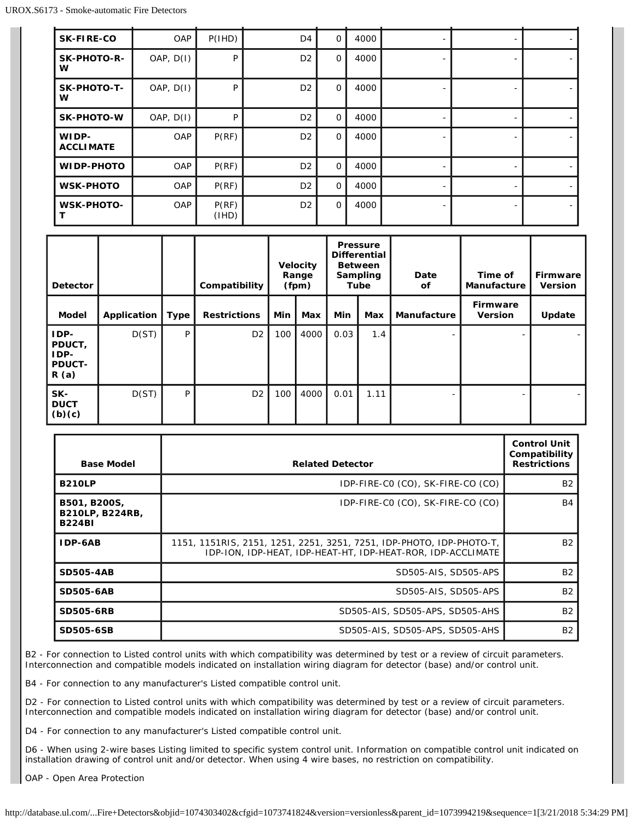| <b>SK-FIRE-CO</b>         | OAP       | P(1HD)         | D <sub>4</sub> | $\circ$     | 4000 |  |  |
|---------------------------|-----------|----------------|----------------|-------------|------|--|--|
| SK-PHOTO-R-<br>w          | OAP, D(1) | P              | D <sub>2</sub> | $\mathbf 0$ | 4000 |  |  |
| <b>SK-PHOTO-T-</b><br>w   | OAP, D(1) | P              | D <sub>2</sub> | $\mathbf 0$ | 4000 |  |  |
| <b>SK-PHOTO-W</b>         | OAP, D(1) | P              | D <sub>2</sub> | $\Omega$    | 4000 |  |  |
| WIDP-<br><b>ACCLIMATE</b> | OAP       | P(RF)          | D <sub>2</sub> | $\Omega$    | 4000 |  |  |
| <b>WIDP-PHOTO</b>         | OAP       | P(RF)          | D <sub>2</sub> | $\circ$     | 4000 |  |  |
| <b>WSK-PHOTO</b>          | OAP       | P(RF)          | D <sub>2</sub> | $\mathbf 0$ | 4000 |  |  |
| <b>WSK-PHOTO-</b>         | OAP       | P(RF)<br>(1HD) | D <sub>2</sub> | $\mathbf 0$ | 4000 |  |  |

| <b>Detector</b>                                 |             |      | Compatibility       | <b>Velocity</b><br>Range<br>(fpm) |      | <b>Pressure</b><br><b>Differential</b><br><b>Between</b><br>Sampling<br><b>Tube</b> |      | Date<br>οf  | Time of<br><b>Manufacture</b> | Firmware<br><b>Version</b> |
|-------------------------------------------------|-------------|------|---------------------|-----------------------------------|------|-------------------------------------------------------------------------------------|------|-------------|-------------------------------|----------------------------|
| <b>Model</b>                                    | Application | Type | <b>Restrictions</b> | Min                               | Max  | Min                                                                                 | Max  | Manufacture | Firmware<br><b>Version</b>    | Update                     |
| IDP-<br>PDUCT,<br>IDP-<br><b>PDUCT-</b><br>R(a) | D(ST)       | P    | D <sub>2</sub>      | 100                               | 4000 | 0.03                                                                                | 1.4  | -           |                               |                            |
| SK-<br><b>DUCT</b><br>(b)(c)                    | D(ST)       | P    | D <sub>2</sub>      | 100                               | 4000 | 0.01                                                                                | 1.11 |             |                               |                            |

| <b>Base Model</b>                                | <b>Related Detector</b>                                                                                                             | <b>Control Unit</b><br>Compatibility<br><b>Restrictions</b> |
|--------------------------------------------------|-------------------------------------------------------------------------------------------------------------------------------------|-------------------------------------------------------------|
| <b>B210LP</b>                                    | IDP-FIRE-CO (CO), SK-FIRE-CO (CO)                                                                                                   | <b>B2</b>                                                   |
| B501, B200S,<br>B210LP, B224RB,<br><b>B224BI</b> | IDP-FIRE-CO (CO), SK-FIRE-CO (CO)                                                                                                   | <b>B4</b>                                                   |
| IDP-6AB                                          | 1151, 1151RIS, 2151, 1251, 2251, 3251, 7251, IDP-PHOTO, IDP-PHOTO-T,<br>IDP-ION, IDP-HEAT, IDP-HEAT-HT, IDP-HEAT-ROR, IDP-ACCLIMATE | <b>B2</b>                                                   |
| <b>SD505-4AB</b>                                 | SD505-AIS, SD505-APS                                                                                                                | <b>B2</b>                                                   |
| <b>SD505-6AB</b>                                 | SD505-AIS, SD505-APS                                                                                                                | <b>B2</b>                                                   |
| <b>SD505-6RB</b>                                 | SD505-AIS, SD505-APS, SD505-AHS                                                                                                     | <b>B2</b>                                                   |
| <b>SD505-6SB</b>                                 | SD505-AIS, SD505-APS, SD505-AHS                                                                                                     | <b>B2</b>                                                   |

B2 - For connection to Listed control units with which compatibility was determined by test or a review of circuit parameters. Interconnection and compatible models indicated on installation wiring diagram for detector (base) and/or control unit.

B4 - For connection to any manufacturer's Listed compatible control unit.

D2 - For connection to Listed control units with which compatibility was determined by test or a review of circuit parameters. Interconnection and compatible models indicated on installation wiring diagram for detector (base) and/or control unit.

D4 - For connection to any manufacturer's Listed compatible control unit.

D6 - When using 2-wire bases Listing limited to specific system control unit. Information on compatible control unit indicated on installation drawing of control unit and/or detector. When using 4 wire bases, no restriction on compatibility.

OAP - Open Area Protection